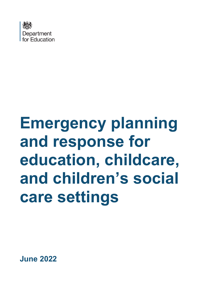

# **Emergency planning and response for education, childcare, and children's social care settings**

**June 2022**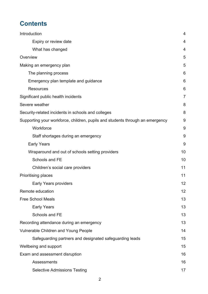# **Contents**

| Introduction                                                                  | 4              |
|-------------------------------------------------------------------------------|----------------|
| Expiry or review date                                                         | 4              |
| What has changed                                                              | $\overline{4}$ |
| Overview                                                                      | 5              |
| Making an emergency plan                                                      | 5              |
| The planning process                                                          | 6              |
| Emergency plan template and guidance                                          | 6              |
| <b>Resources</b>                                                              | 6              |
| Significant public health incidents                                           | $\overline{7}$ |
| Severe weather                                                                | 8              |
| Security-related incidents in schools and colleges                            | 8              |
| Supporting your workforce, children, pupils and students through an emergency | 9              |
| Workforce                                                                     | 9              |
| Staff shortages during an emergency                                           | 9              |
| <b>Early Years</b>                                                            | 9              |
| Wraparound and out of schools setting providers                               | 10             |
| Schools and FE                                                                | 10             |
| Children's social care providers                                              | 11             |
| <b>Prioritising places</b>                                                    | 11             |
| <b>Early Years providers</b>                                                  | 12             |
| Remote education                                                              | 12             |
| <b>Free School Meals</b>                                                      | 13             |
| <b>Early Years</b>                                                            | 13             |
| Schools and FE                                                                | 13             |
| Recording attendance during an emergency                                      | 13             |
| <b>Vulnerable Children and Young People</b>                                   | 14             |
| Safeguarding partners and designated safeguarding leads                       | 15             |
| Wellbeing and support                                                         | 15             |
| Exam and assessment disruption                                                | 16             |
| <b>Assessments</b>                                                            | 16             |
| <b>Selective Admissions Testing</b>                                           | 17             |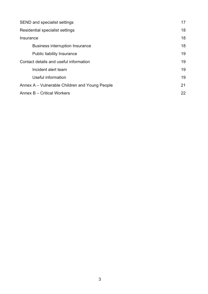| 18<br>Residential specialist settings<br>18<br>Insurance<br>18<br><b>Business interruption Insurance</b><br>19<br><b>Public liability Insurance</b><br>19<br>Contact details and useful information<br>19<br>Incident alert team<br>19<br>Useful information<br>21<br>Annex A – Vulnerable Children and Young People<br>22<br>Annex B - Critical Workers | SEND and specialist settings | 17 |
|----------------------------------------------------------------------------------------------------------------------------------------------------------------------------------------------------------------------------------------------------------------------------------------------------------------------------------------------------------|------------------------------|----|
|                                                                                                                                                                                                                                                                                                                                                          |                              |    |
|                                                                                                                                                                                                                                                                                                                                                          |                              |    |
|                                                                                                                                                                                                                                                                                                                                                          |                              |    |
|                                                                                                                                                                                                                                                                                                                                                          |                              |    |
|                                                                                                                                                                                                                                                                                                                                                          |                              |    |
|                                                                                                                                                                                                                                                                                                                                                          |                              |    |
|                                                                                                                                                                                                                                                                                                                                                          |                              |    |
|                                                                                                                                                                                                                                                                                                                                                          |                              |    |
|                                                                                                                                                                                                                                                                                                                                                          |                              |    |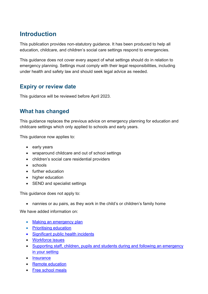# <span id="page-3-0"></span>**Introduction**

This publication provides non-statutory guidance. It has been produced to help all education, childcare, and children's social care settings respond to emergencies.

This guidance does not cover every aspect of what settings should do in relation to emergency planning. Settings must comply with their legal responsibilities, including under health and safety law and should seek legal advice as needed.

## <span id="page-3-1"></span>**Expiry or review date**

This guidance will be reviewed before April 2023.

## <span id="page-3-2"></span>**What has changed**

This guidance replaces the previous advice on emergency planning for education and childcare settings which only applied to schools and early years.

This guidance now applies to:

- early years
- wraparound childcare and out of school settings
- children's social care residential providers
- schools
- further education
- higher education
- SEND and specialist settings

This guidance does not apply to:

• nannies or au pairs, as they work in the child's or children's family home

We have added information on:

- [Making an emergency plan](#page-4-1)
- [Prioritising education](#page-10-1)
- [Significant public health incidents](#page-6-0)
- [Workforce issues](#page-8-2)
- [Supporting staff, children, pupils and students during and following an emergency](#page-8-0) [in your setting](#page-8-0)
- [Insurance](#page-17-1)
- [Remote education](#page-11-1)
- [Free school meals](#page-11-2)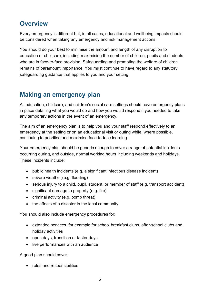# <span id="page-4-0"></span>**Overview**

Every emergency is different but, in all cases, educational and wellbeing impacts should be considered when taking any emergency and risk management actions.

You should do your best to minimise the amount and length of any disruption to education or childcare, including maximising the number of children, pupils and students who are in face-to-face provision. Safeguarding and promoting the welfare of children remains of paramount importance. You must continue to have regard to any statutory safeguarding guidance that applies to you and your setting.

## <span id="page-4-1"></span>**Making an emergency plan**

All education, childcare, and children's social care settings should have emergency plans in place detailing what you would do and how you would respond if you needed to take any temporary actions in the event of an emergency.

The aim of an emergency plan is to help you and your staff respond effectively to an emergency at the setting or on an educational visit or outing while, where possible, continuing to prioritise and maximise face-to-face learning.

Your emergency plan should be generic enough to cover a range of potential incidents occurring during, and outside, normal working hours including weekends and holidays. These incidents include:

- public health incidents (e.g. a significant infectious disease incident)
- severe weather (e.g. flooding)
- serious injury to a child, pupil, student, or member of staff (e.g. transport accident)
- significant damage to property (e.g. fire)
- criminal activity (e.g. bomb threat)
- the effects of a disaster in the local community

You should also include emergency procedures for:

- extended services, for example for school breakfast clubs, after-school clubs and holiday activities
- open days, transition or taster days
- live performances with an audience

A good plan should cover:

• roles and responsibilities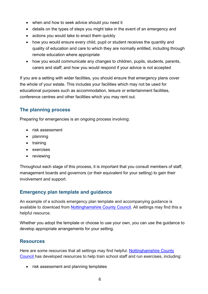- when and how to seek advice should you need it
- details on the types of steps you might take in the event of an emergency and
- actions you would take to enact them quickly
- how you would ensure every child, pupil or student receives the quantity and quality of education and care to which they are normally entitled, including through remote education where appropriate
- how you would communicate any changes to children, pupils, students, parents, carers and staff; and how you would respond if your advice is not accepted

If you are a setting with wider facilities, you should ensure that emergency plans cover the whole of your estate. This includes your facilities which may not be used for educational purposes such as accommodation, leisure or entertainment facilities, conference centres and other facilities which you may rent out.

#### <span id="page-5-0"></span>**The planning process**

Preparing for emergencies is an ongoing process involving:

- risk assessment
- planning
- training
- exercises
- reviewing

Throughout each stage of this process, it is important that you consult members of staff, management boards and governors (or their equivalent for your setting) to gain their involvement and support.

#### <span id="page-5-1"></span>**Emergency plan template and guidance**

An example of a schools emergency plan template and accompanying guidance is available to download from [Nottinghamshire County Council.](https://www.nottinghamshire.gov.uk/planning-and-environment/emergencies-and-disruption/school-emergencies) All settings may find this a helpful resource.

Whether you adopt the template or choose to use your own, you can use the guidance to develop appropriate arrangements for your setting.

#### <span id="page-5-2"></span>**Resources**

Here are some resources that all settings may find helpful. [Nottinghamshire County](https://www.nottinghamshire.gov.uk/planning-and-environment/emergencies-and-disruption/school-emergencies)  [Council](https://www.nottinghamshire.gov.uk/planning-and-environment/emergencies-and-disruption/school-emergencies) has developed resources to help train school staff and run exercises, including:

• risk assessment and planning templates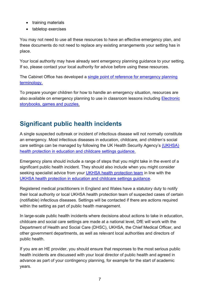- training materials
- tabletop exercises

You may not need to use all these resources to have an effective emergency plan, and these documents do not need to replace any existing arrangements your setting has in place.

Your local authority may have already sent emergency planning guidance to your setting. If so, please contact your local authority for advice before using these resources.

The Cabinet Office has developed a single point of reference for emergency planning [terminology.](https://www.gov.uk/government/publications/emergency-responder-interoperability-lexicon)

To prepare younger children for how to handle an emergency situation, resources are also available on emergency planning to use in classroom lessons including [Electronic](http://www.whatif-guidance.org/)  [storybooks, games and puzzles.](http://www.whatif-guidance.org/)

# <span id="page-6-0"></span>**Significant public health incidents**

A single suspected outbreak or incident of infectious disease will not normally constitute an emergency. Most infectious diseases in education, childcare, and children's social care settings can be managed by following the UK Health Security Agency's [\(UKHSA\)](https://www.gov.uk/government/publications/health-protection-in-schools-and-other-childcare-facilities/chapter-4-what-to-do-if-you-suspect-an-outbreak-of-infection)  [health protection in education and childcare settings guidance.](https://www.gov.uk/government/publications/health-protection-in-schools-and-other-childcare-facilities/chapter-4-what-to-do-if-you-suspect-an-outbreak-of-infection) 

Emergency plans should include a range of steps that you might take in the event of a significant public health incident. They should also include when you might consider seeking specialist advice from your **UKHSA health protection team** in line with the [UKHSA health protection in education and childcare settings guidance.](https://www.gov.uk/government/publications/health-protection-in-schools-and-other-childcare-facilities/chapter-3-public-health-management-of-specific-infectious-diseases)

Registered medical practitioners in England and Wales have a statutory duty to notify their local authority or local UKHSA health protection team of suspected cases of certain (notifiable) infectious diseases. Settings will be contacted if there are actions required within the setting as part of public health management.

In large-scale public health incidents where decisions about actions to take in education, childcare and social care settings are made at a national level, DfE will work with the Department of Health and Social Care (DHSC), UKHSA, the Chief Medical Officer, and other government departments, as well as relevant local authorities and directors of public health.

If you are an HE provider, you should ensure that responses to the most serious public health incidents are discussed with your local director of public health and agreed in advance as part of your contingency planning, for example for the start of academic years.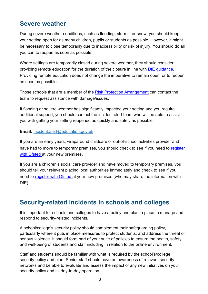# <span id="page-7-0"></span>**Severe weather**

During severe weather conditions, such as flooding, storms, or snow, you should keep your setting open for as many children, pupils or students as possible. However, it might be necessary to close temporarily due to inaccessibility or risk of injury. You should do all you can to reopen as soon as possible.

Where settings are temporarily closed during severe weather, they should consider providing remote education for the duration of the closure in line with [DfE guidance.](https://www.gov.uk/government/publications/providing-remote-education-guidance-for-schools) Providing remote education does not change the imperative to remain open, or to reopen as soon as possible.

Those schools that are a member of the [Risk Protection Arrangement](https://www.gov.uk/guidance/the-risk-protection-arrangement-rpa-for-schools) can contact the team to request assistance with damage/issues.

If flooding or severe weather has significantly impacted your setting and you require additional support, you should contact the incident alert team who will be able to assist you with getting your setting reopened as quickly and safely as possible.

#### **Email:** [incident.alert@education.gov.uk](mailto:incident.alert@education.gov.uk)

If you are an early years, wraparound childcare or out-of-school activities provider and have had to move to temporary premises, you should check to see if you need to register [with Ofsted](https://www.gov.uk/government/publications/how-to-register-on-the-early-years-register) at your new premises.

If you are a children's social care provider and have moved to temporary premises, you should tell your relevant placing local authorities immediately and check to see if you need to [register with Ofsted](https://www.gov.uk/government/publications/how-to-register-on-the-early-years-register) at your new premises (who may share the information with DfE).

# <span id="page-7-1"></span>**Security-related incidents in schools and colleges**

It is important for schools and colleges to have a policy and plan in place to manage and respond to security-related incidents.

A school/college's security policy should complement their safeguarding policy, particularly where it puts in place measures to protect students; and address the threat of serious violence. It should form part of your suite of policies to ensure the health, safety and well-being of students and staff including in relation to the online environment.

Staff and students should be familiar with what is required by the school's/college security policy and plan. Senior staff should have an awareness of relevant security networks and be able to evaluate and assess the impact of any new initiatives on your security policy and its day-to-day operation.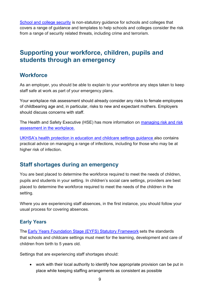[School and college security](https://www.gov.uk/government/publications/school-and-college-security/school-and-college-security) is non-statutory guidance for schools and colleges that covers a range of guidance and templates to help schools and colleges consider the risk from a range of security related threats, including crime and terrorism.

# <span id="page-8-0"></span>**Supporting your workforce, children, pupils and students through an emergency**

#### <span id="page-8-1"></span>**Workforce**

As an employer, you should be able to explain to your workforce any steps taken to keep staff safe at work as part of your emergency plans.

Your workplace risk assessment should already consider any risks to female employees of childbearing age and, in particular, risks to new and expectant mothers. Employers should discuss concerns with staff.

The Health and Safety Executive (HSE) has more information on [managing risk and risk](https://www.hse.gov.uk/simple-health-safety/risk/index.htm?utm_source=hse.gov.uk&utm_medium=refferal&utm_campaign=risk&utm_content=home-page-info)  [assessment in the workplace.](https://www.hse.gov.uk/simple-health-safety/risk/index.htm?utm_source=hse.gov.uk&utm_medium=refferal&utm_campaign=risk&utm_content=home-page-info)

[UKHSA's health protection in education and childcare settings guidance](https://www.gov.uk/government/publications/health-protection-in-schools-and-other-childcare-facilities/chapter-1-introduction-to-infections) also contains practical advice on managing a range of infections, including for those who may be at higher risk of infection.

## <span id="page-8-2"></span>**Staff shortages during an emergency**

You are best placed to determine the workforce required to meet the needs of children, pupils and students in your setting. In children's social care settings, providers are best placed to determine the workforce required to meet the needs of the children in the setting.

Where you are experiencing staff absences, in the first instance, you should follow your usual process for covering absences.

#### <span id="page-8-3"></span>**Early Years**

The Early Years Foundation Stage [\(EYFS\) Statutory Framework](https://www.gov.uk/government/publications/early-years-foundation-stage-framework--2) sets the standards that schools and childcare settings must meet for the learning, development and care of children from birth to 5 years old.

Settings that are experiencing staff shortages should:

• work with their local authority to identify how appropriate provision can be put in place while keeping staffing arrangements as consistent as possible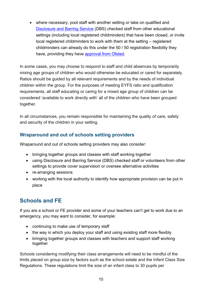• where necessary, pool staff with another setting or take on qualified and Disclosure and [Barring Service](https://www.gov.uk/government/organisations/disclosure-and-barring-service) (DBS) checked staff from other educational settings (including local registered childminders) that have been closed, or invite local registered childminders to work with them at the setting – registered childminders can already do this under the 50 / 50 registration flexibility they have, providing they have [approval from Ofsted.](https://www.gov.uk/government/publications/childcare-providers-eya-approval-to-operate-from-non-domestic-premises)

In some cases, you may choose to respond to staff and child absences by temporarily mixing age groups of children who would otherwise be educated or cared for separately. Ratios should be guided by all relevant requirements and by the needs of individual children within the group. For the purposes of meeting EYFS ratio and qualification requirements, all staff educating or caring for a mixed age group of children can be considered 'available to work directly with' all of the children who have been grouped together.

In all circumstances, you remain responsible for maintaining the quality of care, safety and security of the children in your setting.

#### <span id="page-9-0"></span>**Wraparound and out of schools setting providers**

Wraparound and out of schools setting providers may also consider:

- bringing together groups and classes with staff working together
- using Disclosure and Barring Service (DBS) checked staff or volunteers from other settings to provide cover supervision or oversee alternative activities
- re-arranging sessions
- working with the local authority to identify how appropriate provision can be put in place

# <span id="page-9-1"></span>**Schools and FE**

If you are a school or FE provider and some of your teachers can't get to work due to an emergency, you may want to consider, for example:

- continuing to make use of temporary staff
- the way in which you deploy your staff and using existing staff more flexibly
- bringing together groups and classes with teachers and support staff working together

Schools considering modifying their class arrangements will need to be mindful of the limits placed on group size by factors such as the school estate and the Infant Class Size Regulations. These regulations limit the size of an infant class to 30 pupils per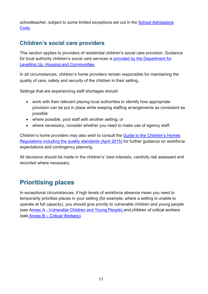schoolteacher, subject to some limited exceptions set out in the [School Admissions](https://www.gov.uk/government/publications/school-admissions-code--2)  [Code.](https://www.gov.uk/government/publications/school-admissions-code--2)

## <span id="page-10-0"></span>**Children's social care providers**

This section applies to providers of residential children's social care provision. Guidance for local authority children's social care services is [provided by the Department for](https://assets.publishing.service.gov.uk/government/uploads/system/uploads/attachment_data/file/759744/181116_LA_preparedness_guide_for_cx_v6.10__004_.pdf)  [Levelling Up, Housing and Communities.](https://assets.publishing.service.gov.uk/government/uploads/system/uploads/attachment_data/file/759744/181116_LA_preparedness_guide_for_cx_v6.10__004_.pdf)

In all circumstances, children's home providers remain responsible for maintaining the quality of care, safety and security of the children in their setting.

Settings that are experiencing staff shortages should: 

- work with their relevant placing local authorities to identify how appropriate provision can be put in place while keeping staffing arrangements as consistent as possible
- where possible, pool staff with another setting; or
- where necessary, consider whether you need to make use of agency staff.

Children's home providers may also wish to consult the [Guide to the Children's Homes](https://www.gov.uk/government/publications/childrens-homes-regulations-including-quality-standards-guide)  [Regulations including the quality standards \(April 2015\)](https://www.gov.uk/government/publications/childrens-homes-regulations-including-quality-standards-guide) for further guidance on workforce expectations and contingency planning.

All decisions should be made in the children's' best interests, carefully risk assessed and recorded where necessary.

# <span id="page-10-1"></span>**Prioritising places**

In exceptional circumstances, if high levels of workforce absence mean you need to temporarily prioritise places in your setting (for example, where a setting is unable to operate at full capacity), you should give priority to vulnerable children and young people (see [Annex A - Vulnerable Children and Young People\)](#page-20-0) and,children of critical workers (see Annex B – Critical Workers).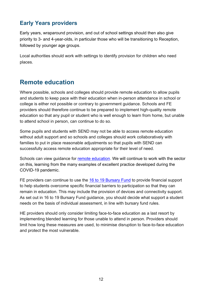# <span id="page-11-0"></span>**Early Years providers**

Early years, wraparound provision, and out of school settings should then also give priority to 3- and 4-year-olds, in particular those who will be transitioning to Reception, followed by younger age groups.

Local authorities should work with settings to identify provision for children who need places.

# <span id="page-11-1"></span>**Remote education**

Where possible, schools and colleges should provide remote education to allow pupils and students to keep pace with their education when in-person attendance in school or college is either not possible or contrary to government guidance. Schools and FE providers should therefore continue to be prepared to implement high-quality remote education so that any pupil or student who is well enough to learn from home, but unable to attend school in person, can continue to do so.

Some pupils and students with SEND may not be able to access remote education without adult support and so schools and colleges should work collaboratively with families to put in place reasonable adjustments so that pupils with SEND can successfully access remote education appropriate for their level of need.

Schools can view guidance for [remote education.](https://www.gov.uk/government/publications/providing-remote-education-guidance-for-schools) We will continue to work with the sector on this, learning from the many examples of excellent practice developed during the COVID-19 pandemic.

FE providers can continue to use the [16 to 19 Bursary Fund](https://www.gov.uk/1619-bursary-fund) to provide financial support to help students overcome specific financial barriers to participation so that they can remain in education. This may include the provision of devices and connectivity support. As set out in 16 to 19 Bursary Fund guidance, you should decide what support a student needs on the basis of individual assessment, in line with bursary fund rules.

<span id="page-11-2"></span>HE providers should only consider limiting face-to-face education as a last resort by implementing blended learning for those unable to attend in person. Providers should limit how long these measures are used, to minimise disruption to face-to-face education and protect the most vulnerable.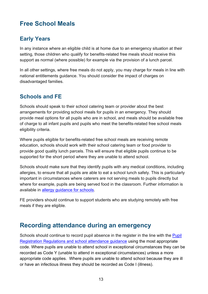# **Free School Meals**

## <span id="page-12-0"></span>**Early Years**

In any instance where an eligible child is at home due to an emergency situation at their setting, those children who qualify for benefits-related free meals should receive this support as normal (where possible) for example via the provision of a lunch parcel.

In all other settings, where free meals do not apply, you may charge for meals in line with national entitlements guidance. You should consider the impact of charges on disadvantaged families.

## <span id="page-12-1"></span>**Schools and FE**

Schools should speak to their school catering team or provider about the best arrangements for providing school meals for pupils in an emergency. They should provide meal options for all pupils who are in school, and meals should be available free of charge to all infant pupils and pupils who meet the benefits-related free school meals eligibility criteria.

Where pupils eligible for benefits-related free school meals are receiving remote education, schools should work with their school catering team or food provider to provide good quality lunch parcels. This will ensure that eligible pupils continue to be supported for the short period where they are unable to attend school.

Schools should make sure that they identify pupils with any medical conditions, including allergies, to ensure that all pupils are able to eat a school lunch safely. This is particularly important in circumstances where caterers are not serving meals to pupils directly but where for example, pupils are being served food in the classroom. Further information is available in [allergy guidance for schools.](https://www.gov.uk/government/publications/school-food-standards-resources-for-schools/allergy-guidance-for-schools)

FE providers should continue to support students who are studying remotely with free meals if they are eligible.

# <span id="page-12-2"></span>**Recording attendance during an emergency**

Schools should continue to record pupil absence in the register in the line with the Pupil [Registration Regulations and school attendance guidance](https://www.gov.uk/government/publications/school-attendance) using the most appropriate code. Where pupils are unable to attend school in exceptional circumstances they can be recorded as Code Y (unable to attend in exceptional circumstances) unless a more appropriate code applies. Where pupils are unable to attend school because they are ill or have an infectious illness they should be recorded as Code I (illness).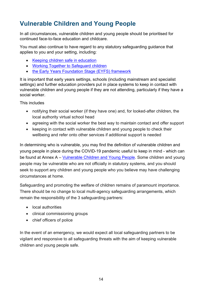# <span id="page-13-0"></span>**Vulnerable Children and Young People**

In all circumstances, vulnerable children and young people should be prioritised for continued face-to-face education and childcare.

You must also continue to have regard to any statutory safeguarding guidance that applies to you and your setting, including:

- [Keeping children safe in education](https://www.gov.uk/government/publications/keeping-children-safe-in-education--2)
- [Working Together to Safeguard children](https://www.gov.uk/government/publications/working-together-to-safeguard-children--2)
- [the Early Years Foundation Stage \(EYFS\) framework](https://www.gov.uk/government/publications/early-years-foundation-stage-framework--2)

It is important that early years settings, schools (including mainstream and specialist settings) and further education providers put in place systems to keep in contact with vulnerable children and young people if they are not attending, particularly if they have a social worker.

This includes

- notifying their social worker (if they have one) and, for looked-after children, the local authority virtual school head
- agreeing with the social worker the best way to maintain contact and offer support
- keeping in contact with vulnerable children and young people to check their wellbeing and refer onto other services if additional support is needed

In determining who is vulnerable, you may find the definition of vulnerable children and young people in place during the COVID-19 pandemic useful to keep in mind - which can be found at Annex A – [Vulnerable Children](#page-20-0) and Young People. Some children and young people may be vulnerable who are not officially in statutory systems, and you should seek to support any children and young people who you believe may have challenging circumstances at home.

Safeguarding and promoting the welfare of children remains of paramount importance. There should be no change to local multi-agency safeguarding arrangements, which remain the responsibility of the 3 safeguarding partners:

- local authorities
- clinical commissioning groups
- chief officers of police

In the event of an emergency, we would expect all local safeguarding partners to be vigilant and responsive to all safeguarding threats with the aim of keeping vulnerable children and young people safe.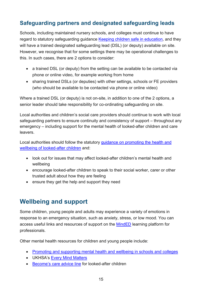## <span id="page-14-0"></span>**Safeguarding partners and designated safeguarding leads**

Schools, including maintained nursery schools, and colleges must continue to have regard to statutory safeguarding guidance [Keeping children safe in education,](https://www.gov.uk/government/publications/keeping-children-safe-in-education--2) and they will have a trained designated safeguarding lead (DSL) (or deputy) available on site. However, we recognise that for some settings there may be operational challenges to this. In such cases, there are 2 options to consider:

- a trained DSL (or deputy) from the setting can be available to be contacted via phone or online video, for example working from home
- sharing trained DSLs (or deputies) with other settings, schools or FE providers (who should be available to be contacted via phone or online video)

Where a trained DSL (or deputy) is not on-site, in addition to one of the 2 options, a senior leader should take responsibility for co-ordinating safeguarding on site.

Local authorities and children's social care providers should continue to work with local safeguarding partners to ensure continuity and consistency of support – throughout any emergency – including support for the mental health of looked-after children and care leavers.

Local authorities should follow the statutory [guidance on promoting the health and](https://www.gov.uk/government/publications/promoting-the-health-and-wellbeing-of-looked-after-children--2)  [wellbeing of looked-after children](https://www.gov.uk/government/publications/promoting-the-health-and-wellbeing-of-looked-after-children--2) and:

- look out for issues that may affect looked-after children's mental health and wellbeing
- encourage looked-after children to speak to their social worker, carer or other trusted adult about how they are feeling
- ensure they get the help and support they need

# <span id="page-14-1"></span>**Wellbeing and support**

Some children, young people and adults may experience a variety of emotions in response to an emergency situation, such as anxiety, stress, or low mood. You can access useful links and resources of support on the [MindED](https://www.minded.org.uk/) learning platform for professionals.

Other mental health resources for children and young people include:

- [Promoting and supporting mental health and wellbeing in schools and colleges](https://www.gov.uk/guidance/mental-health-and-wellbeing-support-in-schools-and-colleges)
- UKHSA's [Every Mind Matters](https://www.nhs.uk/oneyou/every-mind-matters/)
- [Become's care advice line](https://becomecharity.org.uk/for-young-people/care-advice-line/coronavirus-advice/) for looked-after children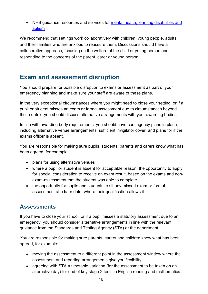• NHS guidance resources and services for [mental health, learning disabilities and](https://www.england.nhs.uk/coronavirus/community-social-care-ambulance/mental-health/) [autism](https://www.england.nhs.uk/coronavirus/community-social-care-ambulance/mental-health/)

We recommend that settings work collaboratively with children, young people, adults, and their families who are anxious to reassure them. Discussions should have a collaborative approach, focusing on the welfare of the child or young person and responding to the concerns of the parent, carer or young person.

# <span id="page-15-0"></span>**Exam and assessment disruption**

You should prepare for possible disruption to exams or assessment as part of your emergency planning and make sure your staff are aware of these plans.

In the very exceptional circumstances where you might need to close your setting, or if a pupil or student misses an exam or formal assessment due to circumstances beyond their control, you should discuss alternative arrangements with your awarding bodies.

In line with awarding body requirements, you should have contingency plans in place, including alternative venue arrangements, sufficient invigilator cover, and plans for if the exams officer is absent.

You are responsible for making sure pupils, students, parents and carers know what has been agreed, for example:

- plans for using alternative venues
- where a pupil or student is absent for acceptable reason, the opportunity to apply for special consideration to receive an exam result, based on the exams and nonexam-assessment that the student was able to complete
- the opportunity for pupils and students to sit any missed exam or formal assessment at a later date, where their qualification allows it

## <span id="page-15-1"></span>**Assessments**

If you have to close your school, or if a pupil misses a statutory assessment due to an emergency, you should consider alternative arrangements in line with the relevant guidance from the Standards and Testing Agency (STA) or the department.

You are responsible for making sure parents, carers and children know what has been agreed, for example:

- moving the assessment to a different point in the assessment window where the assessment and reporting arrangements give you flexibility
- agreeing with STA a timetable variation (for the assessment to be taken on an alternative day) for end of key stage 2 tests in English reading and mathematics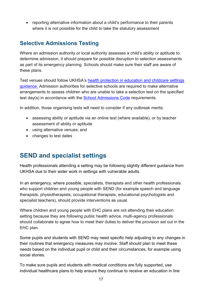• reporting alternative information about a child's performance to their parents where it is not possible for the child to take the statutory assessment

## <span id="page-16-0"></span>**Selective Admissions Testing**

Where an admission authority or local authority assesses a child's ability or aptitude to determine admission, it should prepare for possible disruption to selection assessments as part of its emergency planning. Schools should make sure their staff are aware of these plans.

Test venues should follow UKHSA's [health protection in education and childcare settings](https://www.gov.uk/government/publications/health-protection-in-schools-and-other-childcare-facilities)  [guidance.](https://www.gov.uk/government/publications/health-protection-in-schools-and-other-childcare-facilities) Admission authorities for selective schools are required to make alternative arrangements to assess children who are unable to take a selection test on the specified test day(s) in accordance with the [School Admissions Code](https://www.gov.uk/government/publications/school-admissions-code--2) requirements.

In addition, those organising tests will need to consider if any outbreak merits:

- assessing ability or aptitude via an online test (where available), or by teacher assessment of ability or aptitude
- using alternative venues; and
- changes to test dates

# <span id="page-16-1"></span>**SEND and specialist settings**

Health professionals attending a setting may be following slightly different guidance from UKHSA due to their wider work in settings with vulnerable adults.

In an emergency, where possible, specialists, therapists and other health professionals who support children and young people with SEND (for example speech and language therapists, physiotherapists, occupational therapists, educational psychologists and specialist teachers), should provide interventions as usual.

Where children and young people with EHC plans are not attending their education setting because they are following public health advice, multi-agency professionals should collaborate to agree how to meet their duties to deliver the provision set out in the EHC plan.

Some pupils and students with SEND may need specific help adjusting to any changes in their routines that emergency measures may involve. Staff should plan to meet these needs based on the individual pupil or child and their circumstances, for example using social stories.

To make sure pupils and students with medical conditions are fully supported, use individual healthcare plans to help ensure they continue to receive an education in line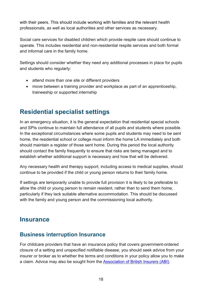with their peers. This should include working with families and the relevant health professionals, as well as local authorities and other services as necessary.

Social care services for disabled children which provide respite care should continue to operate. This includes residential and non-residential respite services and both formal and informal care in the family home.

Settings should consider whether they need any additional processes in place for pupils and students who regularly:

- attend more than one site or different providers
- move between a training provider and workplace as part of an apprenticeship, traineeship or supported internship

# <span id="page-17-0"></span>**Residential specialist settings**

In an emergency situation, it is the general expectation that residential special schools and SPIs continue to maintain full attendance of all pupils and students where possible. In the exceptional circumstances where some pupils and students may need to be sent home, the residential school or college must inform the home LA immediately and both should maintain a register of those sent home. During this period the local authority should contact the family frequently to ensure that risks are being managed and to establish whether additional support is necessary and how that will be delivered.

Any necessary health and therapy support, including access to medical supplies, should continue to be provided if the child or young person returns to their family home.

If settings are temporarily unable to provide full provision it is likely to be preferable to allow the child or young person to remain resident, rather than to send them home, particularly if they lack suitable alternative accommodation. This should be discussed with the family and young person and the commissioning local authority.

# <span id="page-17-1"></span>**Insurance**

## <span id="page-17-2"></span>**Business interruption Insurance**

For childcare providers that have an insurance policy that covers government-ordered closure of a setting and unspecified notifiable disease, you should seek advice from your insurer or broker as to whether the terms and conditions in your policy allow you to make a claim. Advice may also be sought from the [Association of British Insurers \(ABI\).](https://www.abi.org.uk/products-and-issues/choosing-the-right-insurance/business-insurance/business-interruption-insurance/)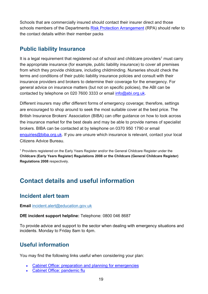Schools that are commercially insured should contact their insurer direct and those schools members of the Departments [Risk Protection Arrangement](https://www.gov.uk/guidance/the-risk-protection-arrangement-rpa-for-schools) (RPA) should refer to the contact details within their member packs

## <span id="page-18-0"></span>**Public liability Insurance**

It is a legal requirement that registered out of school and childcare providers<sup>1</sup> must carry the appropriate insurance (for example, public liability insurance) to cover all premises from which they provide childcare, including childminding. Nurseries should check the terms and conditions of their public liability insurance policies and consult with their insurance providers and brokers to determine their coverage for the emergency. For general advice on insurance matters (but not on specific policies), the ABI can be contacted by telephone on 020 7600 3333 or email [info@abi.org.uk.](mailto:info@abi.org.uk)

Different insurers may offer different forms of emergency coverage; therefore, settings are encouraged to shop around to seek the most suitable cover at the best price. The British Insurance Brokers' Association (BIBA) can offer guidance on how to look across the insurance market for the best deals and may be able to provide names of specialist brokers. BIBA can be contacted at by telephone on 0370 950 1790 or email [enquiries@biba.org.uk.](mailto:enquiries@biba.org.uk) If you are unsure which insurance is relevant, contact your local Citizens Advice Bureau.

<sup>1</sup> Providers registered on the Early Years Register and/or the General Childcare Register under the **Childcare (Early Years Register) Regulations 2008 or the Childcare (General Childcare Register) Regulations 2008** respectively.

# <span id="page-18-1"></span>**Contact details and useful information**

## <span id="page-18-2"></span>**Incident alert team**

#### **Email** [incident.alert@education.gov.uk](mailto:incident.alert@education.gov.uk)

#### **DfE incident support helpline:** Telephone: 0800 046 8687

To provide advice and support to the sector when dealing with emergency situations and incidents. Monday to Friday 8am to 4pm.

## <span id="page-18-3"></span>**Useful information**

You may find the following links useful when considering your plan:

- [Cabinet Office: preparation and planning for emergencies](https://www.gov.uk/guidance/preparation-and-planning-for-emergencies-responsibilities-of-responder-agencies-and-others)
- [Cabinet Office: pandemic flu](https://www.gov.uk/guidance/pandemic-flu)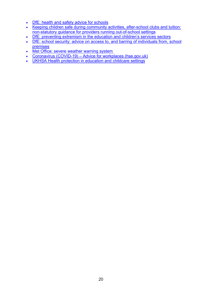- [DfE: health and safety advice for schools](https://www.gov.uk/government/publications/health-and-safety-advice-for-schools)
- [Keeping children safe during community activities, after-school clubs and tuition:](https://www.gov.uk/government/publications/keeping-children-safe-in-out-of-school-settings-code-of-practice/keeping-children-safe-during-community-activities-after-school-clubs-and-tuition-non-statutory-guidance-for-providers-running-out-of-school-settings)  [non-statutory guidance for providers running out-of-school settings](https://www.gov.uk/government/publications/keeping-children-safe-in-out-of-school-settings-code-of-practice/keeping-children-safe-during-community-activities-after-school-clubs-and-tuition-non-statutory-guidance-for-providers-running-out-of-school-settings)
- [DfE: preventing extremism in the education and children's services sectors](https://www.gov.uk/government/publications/preventing-extremism-in-schools-and-childrens-services/preventing-extremism-in-the-education-and-childrens-services-sectors)
- DfE: school security: advice on access to, and barring of individuals from, school [premises](https://www.gov.uk/government/publications/school-security)
- Met Office: severe weather warning system
- [Coronavirus \(COVID-19\) Advice for workplaces \(hse.gov.uk\)](https://www.hse.gov.uk/coronavirus/index.htm?utm_source=hse.gov.uk&utm_medium=refferal&utm_campaign=coronavirus&utm_term=covid&utm_content=home-page-popular)
- [UKHSA Health protection in education and childcare settings](https://www.gov.uk/government/publications/health-protection-in-schools-and-other-childcare-facilities)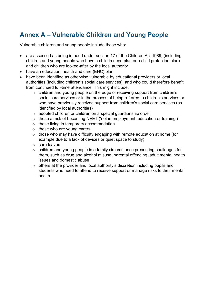# <span id="page-20-0"></span>**Annex A – Vulnerable Children and Young People**

Vulnerable children and young people include those who:

- are assessed as being in need under section 17 of the Children Act 1989, (including children and young people who have a child in need plan or a child protection plan) and children who are looked-after by the local authority
- have an education, health and care (EHC) plan
- have been identified as otherwise vulnerable by educational providers or local authorities (including children's social care services), and who could therefore benefit from continued full-time attendance. This might include:
	- o children and young people on the edge of receiving support from children's social care services or in the process of being referred to children's services or who have previously received support from children's social care services (as identified by local authorities)
	- o adopted children or children on a special guardianship order
	- o those at risk of becoming NEET ('not in employment, education or training')
	- o those living in temporary accommodation
	- o those who are young carers
	- $\circ$  those who may have difficulty engaging with remote education at home (for example due to a lack of devices or quiet space to study)
	- o care leavers
	- $\circ$  children and young people in a family circumstance presenting challenges for them, such as drug and alcohol misuse, parental offending, adult mental health issues and domestic abuse
	- $\circ$  others at the provider and local authority's discretion including pupils and students who need to attend to receive support or manage risks to their mental health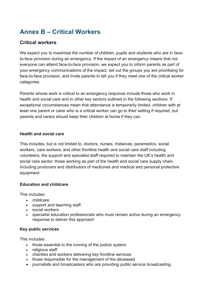# <span id="page-21-0"></span>**Annex B – Critical Workers**

#### **Critical workers**

We expect you to maximise the number of children, pupils and students who are in faceto-face provision during an emergency. If the impact of an emergency means that not everyone can attend face-to-face provision, we expect you to inform parents as part of your emergency communications of the impact, set out the groups you are prioritising for face-to-face provision, and invite parents to tell you if they meet one of the critical worker categories.

Parents whose work is critical to an emergency response include those who work in health and social care and in other key sectors outlined in the following sections. If exceptional circumstances mean that attendance is temporarily limited, children with at least one parent or carer who is a critical worker can go to their setting if required, but parents and carers should keep their children at home if they can.

#### **Health and social care**

This includes, but is not limited to, doctors, nurses, midwives, paramedics, social workers, care workers, and other frontline health and social care staff including volunteers; the support and specialist staff required to maintain the UK's health and social care sector; those working as part of the health and social care supply chain, including producers and distributors of medicines and medical and personal protective equipment.

#### **Education and childcare**

This includes:

- childcare
- support and teaching staff
- social workers
- specialist education professionals who must remain active during an emergency response to deliver this approach

#### **Key public services**

This includes:

- those essential to the running of the justice system
- religious staff
- charities and workers delivering key frontline services
- those responsible for the management of the deceased
- journalists and broadcasters who are providing public service broadcasting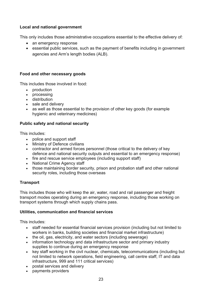#### **Local and national government**

This only includes those administrative occupations essential to the effective delivery of:

- an emergency response
- essential public services, such as the payment of benefits including in government agencies and Arm's length bodies (ALB).

#### **Food and other necessary goods**

This includes those involved in food:

- production
- processing
- distribution
- sale and delivery
- as well as those essential to the provision of other key goods (for example hygienic and veterinary medicines)

#### **Public safety and national security**

This includes:

- police and support staff
- Ministry of Defence civilians
- contractor and armed forces personnel (those critical to the delivery of key defence and national security outputs and essential to an emergency response)
- fire and rescue service employees (including support staff)
- National Crime Agency staff
- those maintaining border security, prison and probation staff and other national security roles, including those overseas

#### **Transport**

This includes those who will keep the air, water, road and rail passenger and freight transport modes operating during an emergency response, including those working on transport systems through which supply chains pass.

#### **Utilities, communication and financial services**

This includes:

- staff needed for essential financial services provision (including but not limited to workers in banks, building societies and financial market infrastructure)
- the oil, gas, electricity, and water sectors (including sewerage)
- information technology and data infrastructure sector and primary industry supplies to continue during an emergency response
- key staff working in the civil nuclear, chemicals, telecommunications (including but not limited to network operations, field engineering, call centre staff, IT and data infrastructure, 999 and 111 critical services)
- postal services and delivery
- payments providers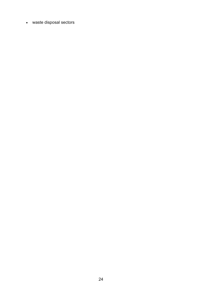• waste disposal sectors